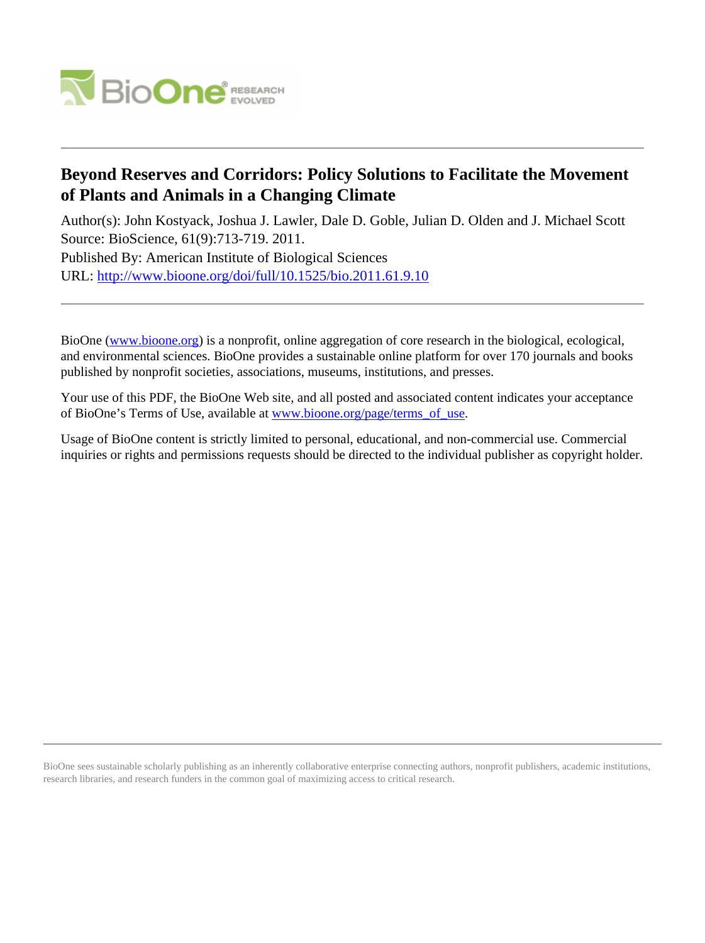

## **Beyond Reserves and Corridors: Policy Solutions to Facilitate the Movement of Plants and Animals in a Changing Climate**

Author(s): John Kostyack, Joshua J. Lawler, Dale D. Goble, Julian D. Olden and J. Michael Scott Source: BioScience, 61(9):713-719. 2011. Published By: American Institute of Biological Sciences URL: <http://www.bioone.org/doi/full/10.1525/bio.2011.61.9.10>

BioOne [\(www.bioone.org\)](http://www.bioone.org) is a nonprofit, online aggregation of core research in the biological, ecological, and environmental sciences. BioOne provides a sustainable online platform for over 170 journals and books published by nonprofit societies, associations, museums, institutions, and presses.

Your use of this PDF, the BioOne Web site, and all posted and associated content indicates your acceptance of BioOne's Terms of Use, available at [www.bioone.org/page/terms\\_of\\_use.](http://www.bioone.org/page/terms_of_use)

Usage of BioOne content is strictly limited to personal, educational, and non-commercial use. Commercial inquiries or rights and permissions requests should be directed to the individual publisher as copyright holder.

BioOne sees sustainable scholarly publishing as an inherently collaborative enterprise connecting authors, nonprofit publishers, academic institutions, research libraries, and research funders in the common goal of maximizing access to critical research.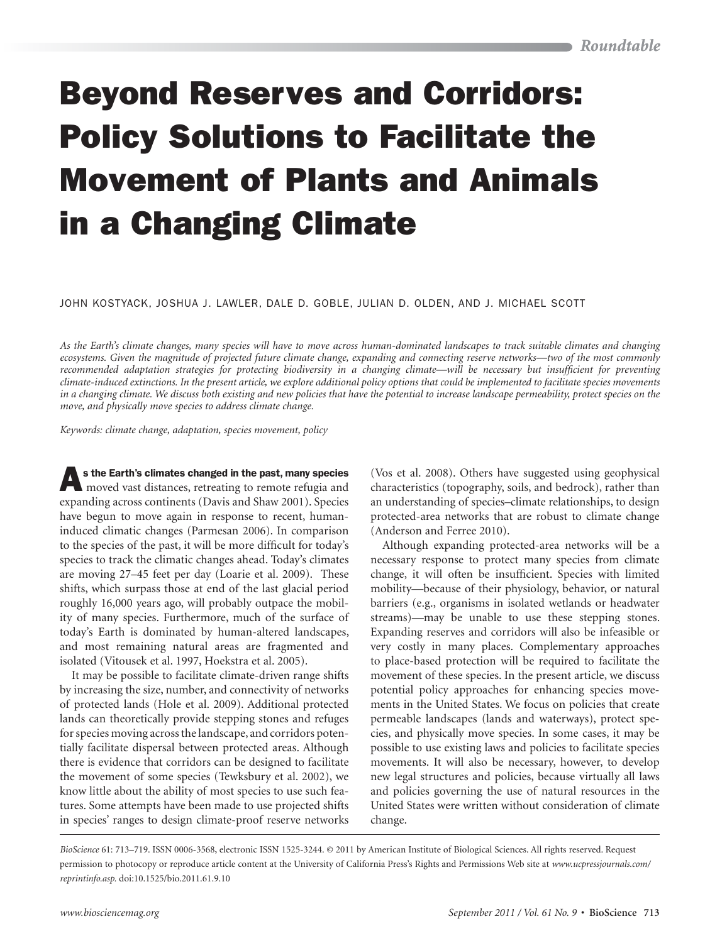# Beyond Reserves and Corridors: Policy Solutions to Facilitate the Movement of Plants and Animals in a Changing Climate

JOHN KOSTYACK, JOSHUA J. LAWLER, DALE D. GOBLE, JULIAN D. OLDEN, AND J. MICHAEL SCOTT

*As the Earth's climate changes, many species will have to move across human-dominated landscapes to track suitable climates and changing ecosystems. Given the magnitude of projected future climate change, expanding and connecting reserve networks—two of the most commonly recommended adaptation strategies for protecting biodiversity in a changing climate—will be necessary but insufficient for preventing climate-induced extinctions. In the present article, we explore additional policy options that could be implemented to facilitate species movements*  in a changing climate. We discuss both existing and new policies that have the potential to increase landscape permeability, protect species on the *move, and physically move species to address climate change.*

*Keywords: climate change, adaptation, species movement, policy*

**As the Earth's climates changed in the past, many species** moved vast distances, retreating to remote refugia and expanding across continents (Davis and Shaw 2001). Species have begun to move again in response to recent, humaninduced climatic changes (Parmesan 2006). In comparison to the species of the past, it will be more difficult for today's species to track the climatic changes ahead. Today's climates are moving 27–45 feet per day (Loarie et al. 2009). These shifts, which surpass those at end of the last glacial period roughly 16,000 years ago, will probably outpace the mobility of many species. Furthermore, much of the surface of today's Earth is dominated by human-altered landscapes, and most remaining natural areas are fragmented and isolated (Vitousek et al. 1997, Hoekstra et al. 2005).

It may be possible to facilitate climate-driven range shifts by increasing the size, number, and connectivity of networks of protected lands (Hole et al. 2009). Additional protected lands can theoretically provide stepping stones and refuges for species moving across the landscape, and corridors potentially facilitate dispersal between protected areas. Although there is evidence that corridors can be designed to facilitate the movement of some species (Tewksbury et al. 2002), we know little about the ability of most species to use such features. Some attempts have been made to use projected shifts in species' ranges to design climate-proof reserve networks

(Vos et al. 2008). Others have suggested using geophysical characteristics (topography, soils, and bedrock), rather than an understanding of species–climate relationships, to design protected-area networks that are robust to climate change (Anderson and Ferree 2010).

Although expanding protected-area networks will be a necessary response to protect many species from climate change, it will often be insufficient. Species with limited mobility—because of their physiology, behavior, or natural barriers (e.g., organisms in isolated wetlands or headwater streams)—may be unable to use these stepping stones. Expanding reserves and corridors will also be infeasible or very costly in many places. Complementary approaches to place-based protection will be required to facilitate the movement of these species. In the present article, we discuss potential policy approaches for enhancing species movements in the United States. We focus on policies that create permeable landscapes (lands and waterways), protect species, and physically move species. In some cases, it may be possible to use existing laws and policies to facilitate species movements. It will also be necessary, however, to develop new legal structures and policies, because virtually all laws and policies governing the use of natural resources in the United States were written without consideration of climate change.

*BioScience* 61: 713–719. ISSN 0006-3568, electronic ISSN 1525-3244. © 2011 by American Institute of Biological Sciences. All rights reserved. Request permission to photocopy or reproduce article content at the University of California Press's Rights and Permissions Web site at *www.ucpressjournals.com/ reprintinfo.asp.* doi:10.1525/bio.2011.61.9.10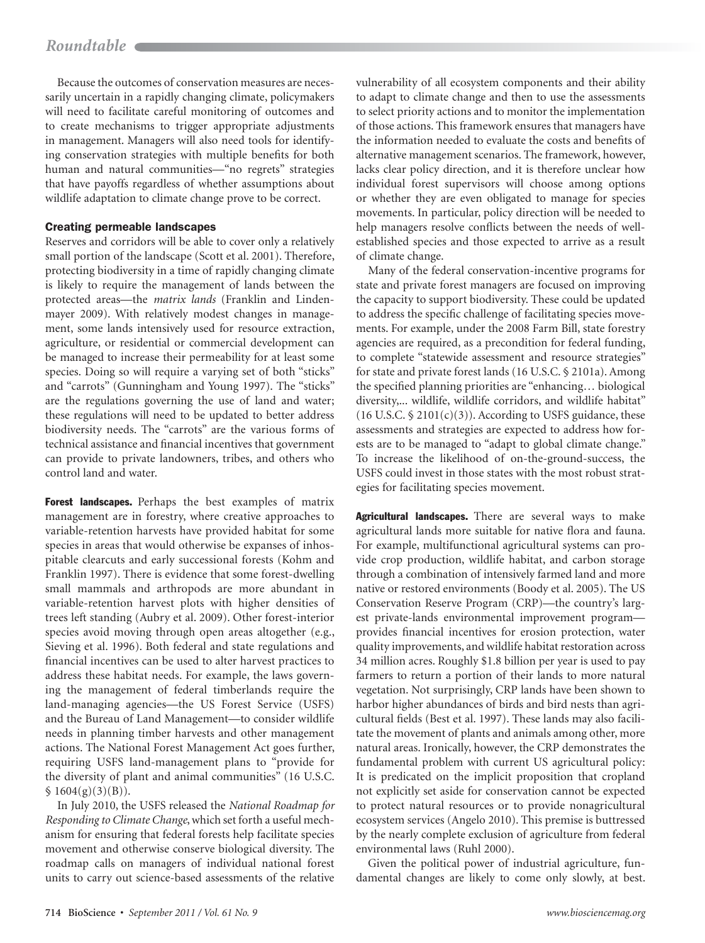Because the outcomes of conservation measures are necessarily uncertain in a rapidly changing climate, policymakers will need to facilitate careful monitoring of outcomes and to create mechanisms to trigger appropriate adjustments in management. Managers will also need tools for identifying conservation strategies with multiple benefits for both human and natural communities—"no regrets" strategies that have payoffs regardless of whether assumptions about wildlife adaptation to climate change prove to be correct.

#### Creating permeable landscapes

Reserves and corridors will be able to cover only a relatively small portion of the landscape (Scott et al. 2001). Therefore, protecting biodiversity in a time of rapidly changing climate is likely to require the management of lands between the protected areas—the *matrix lands* (Franklin and Lindenmayer 2009). With relatively modest changes in management, some lands intensively used for resource extraction, agriculture, or residential or commercial development can be managed to increase their permeability for at least some species. Doing so will require a varying set of both "sticks" and "carrots" (Gunningham and Young 1997). The "sticks" are the regulations governing the use of land and water; these regulations will need to be updated to better address biodiversity needs. The "carrots" are the various forms of technical assistance and financial incentives that government can provide to private landowners, tribes, and others who control land and water.

Forest landscapes. Perhaps the best examples of matrix management are in forestry, where creative approaches to variable-retention harvests have provided habitat for some species in areas that would otherwise be expanses of inhospitable clearcuts and early successional forests (Kohm and Franklin 1997). There is evidence that some forest-dwelling small mammals and arthropods are more abundant in variable-retention harvest plots with higher densities of trees left standing (Aubry et al. 2009). Other forest-interior species avoid moving through open areas altogether (e.g., Sieving et al. 1996). Both federal and state regulations and financial incentives can be used to alter harvest practices to address these habitat needs. For example, the laws governing the management of federal timberlands require the land-managing agencies—the US Forest Service (USFS) and the Bureau of Land Management—to consider wildlife needs in planning timber harvests and other management actions. The National Forest Management Act goes further, requiring USFS land-management plans to "provide for the diversity of plant and animal communities" (16 U.S.C.  $$1604(g)(3)(B)).$ 

In July 2010, the USFS released the *National Roadmap for Responding to Climate Change*, which set forth a useful mechanism for ensuring that federal forests help facilitate species movement and otherwise conserve biological diversity. The roadmap calls on managers of individual national forest units to carry out science-based assessments of the relative

vulnerability of all ecosystem components and their ability to adapt to climate change and then to use the assessments to select priority actions and to monitor the implementation of those actions. This framework ensures that managers have the information needed to evaluate the costs and benefits of alternative management scenarios. The framework, however, lacks clear policy direction, and it is therefore unclear how individual forest supervisors will choose among options or whether they are even obligated to manage for species movements. In particular, policy direction will be needed to help managers resolve conflicts between the needs of wellestablished species and those expected to arrive as a result of climate change.

Many of the federal conservation-incentive programs for state and private forest managers are focused on improving the capacity to support biodiversity. These could be updated to address the specific challenge of facilitating species movements. For example, under the 2008 Farm Bill, state forestry agencies are required, as a precondition for federal funding, to complete "statewide assessment and resource strategies" for state and private forest lands (16 U.S.C. § 2101a). Among the specified planning priorities are "enhancing… biological diversity,... wildlife, wildlife corridors, and wildlife habitat"  $(16 \text{ U.S.C. } $2101(c)(3))$ . According to USFS guidance, these assessments and strategies are expected to address how forests are to be managed to "adapt to global climate change." To increase the likelihood of on-the-ground-success, the USFS could invest in those states with the most robust strategies for facilitating species movement.

Agricultural landscapes. There are several ways to make agricultural lands more suitable for native flora and fauna. For example, multifunctional agricultural systems can provide crop production, wildlife habitat, and carbon storage through a combination of intensively farmed land and more native or restored environments (Boody et al. 2005). The US Conservation Reserve Program (CRP)—the country's largest private-lands environmental improvement program provides financial incentives for erosion protection, water quality improvements, and wildlife habitat restoration across 34 million acres. Roughly \$1.8 billion per year is used to pay farmers to return a portion of their lands to more natural vegetation. Not surprisingly, CRP lands have been shown to harbor higher abundances of birds and bird nests than agricultural fields (Best et al. 1997). These lands may also facilitate the movement of plants and animals among other, more natural areas. Ironically, however, the CRP demonstrates the fundamental problem with current US agricultural policy: It is predicated on the implicit proposition that cropland not explicitly set aside for conservation cannot be expected to protect natural resources or to provide nonagricultural ecosystem services (Angelo 2010). This premise is buttressed by the nearly complete exclusion of agriculture from federal environmental laws (Ruhl 2000).

Given the political power of industrial agriculture, fundamental changes are likely to come only slowly, at best.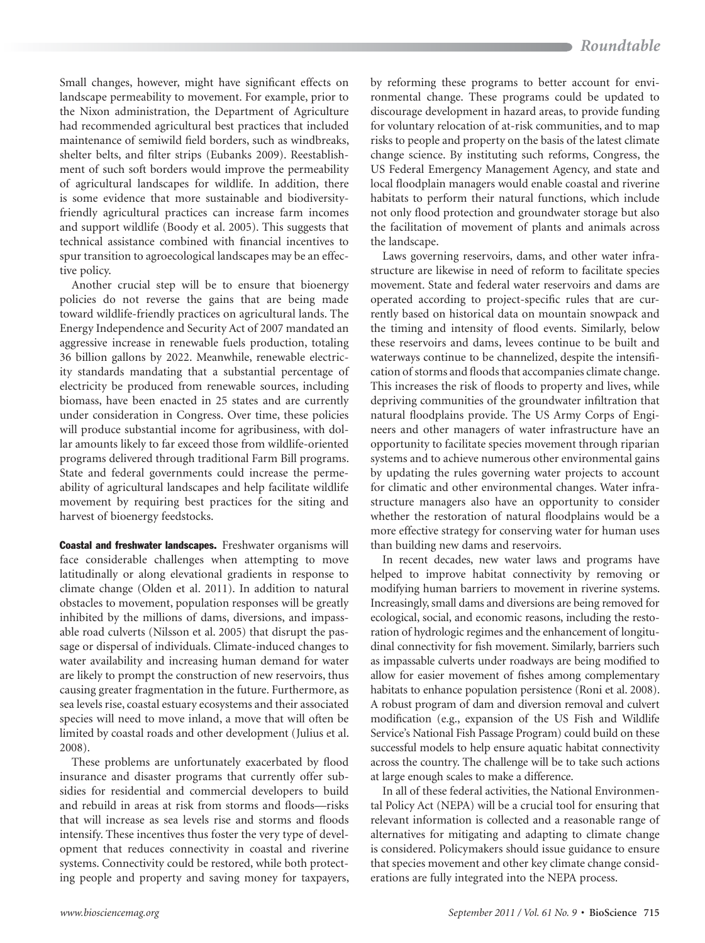Small changes, however, might have significant effects on landscape permeability to movement. For example, prior to the Nixon administration, the Department of Agriculture had recommended agricultural best practices that included maintenance of semiwild field borders, such as windbreaks, shelter belts, and filter strips (Eubanks 2009). Reestablishment of such soft borders would improve the permeability of agricultural landscapes for wildlife. In addition, there is some evidence that more sustainable and biodiversityfriendly agricultural practices can increase farm incomes and support wildlife (Boody et al. 2005). This suggests that technical assistance combined with financial incentives to spur transition to agroecological landscapes may be an effective policy.

Another crucial step will be to ensure that bioenergy policies do not reverse the gains that are being made toward wildlife-friendly practices on agricultural lands. The Energy Independence and Security Act of 2007 mandated an aggressive increase in renewable fuels production, totaling 36 billion gallons by 2022. Meanwhile, renewable electricity standards mandating that a substantial percentage of electricity be produced from renewable sources, including biomass, have been enacted in 25 states and are currently under consideration in Congress. Over time, these policies will produce substantial income for agribusiness, with dollar amounts likely to far exceed those from wildlife-oriented programs delivered through traditional Farm Bill programs. State and federal governments could increase the permeability of agricultural landscapes and help facilitate wildlife movement by requiring best practices for the siting and harvest of bioenergy feedstocks.

Coastal and freshwater landscapes. Freshwater organisms will face considerable challenges when attempting to move latitudinally or along elevational gradients in response to climate change (Olden et al. 2011). In addition to natural obstacles to movement, population responses will be greatly inhibited by the millions of dams, diversions, and impassable road culverts (Nilsson et al. 2005) that disrupt the passage or dispersal of individuals. Climate-induced changes to water availability and increasing human demand for water are likely to prompt the construction of new reservoirs, thus causing greater fragmentation in the future. Furthermore, as sea levels rise, coastal estuary ecosystems and their associated species will need to move inland, a move that will often be limited by coastal roads and other development (Julius et al. 2008).

These problems are unfortunately exacerbated by flood insurance and disaster programs that currently offer subsidies for residential and commercial developers to build and rebuild in areas at risk from storms and floods—risks that will increase as sea levels rise and storms and floods intensify. These incentives thus foster the very type of development that reduces connectivity in coastal and riverine systems. Connectivity could be restored, while both protecting people and property and saving money for taxpayers, by reforming these programs to better account for environmental change. These programs could be updated to discourage development in hazard areas, to provide funding for voluntary relocation of at-risk communities, and to map risks to people and property on the basis of the latest climate change science. By instituting such reforms, Congress, the US Federal Emergency Management Agency, and state and local floodplain managers would enable coastal and riverine habitats to perform their natural functions, which include not only flood protection and groundwater storage but also the facilitation of movement of plants and animals across the landscape.

Laws governing reservoirs, dams, and other water infrastructure are likewise in need of reform to facilitate species movement. State and federal water reservoirs and dams are operated according to project-specific rules that are currently based on historical data on mountain snowpack and the timing and intensity of flood events. Similarly, below these reservoirs and dams, levees continue to be built and waterways continue to be channelized, despite the intensification of storms and floods that accompanies climate change. This increases the risk of floods to property and lives, while depriving communities of the groundwater infiltration that natural floodplains provide. The US Army Corps of Engineers and other managers of water infrastructure have an opportunity to facilitate species movement through riparian systems and to achieve numerous other environmental gains by updating the rules governing water projects to account for climatic and other environmental changes. Water infrastructure managers also have an opportunity to consider whether the restoration of natural floodplains would be a more effective strategy for conserving water for human uses than building new dams and reservoirs.

In recent decades, new water laws and programs have helped to improve habitat connectivity by removing or modifying human barriers to movement in riverine systems. Increasingly, small dams and diversions are being removed for ecological, social, and economic reasons, including the restoration of hydrologic regimes and the enhancement of longitudinal connectivity for fish movement. Similarly, barriers such as impassable culverts under roadways are being modified to allow for easier movement of fishes among complementary habitats to enhance population persistence (Roni et al. 2008). A robust program of dam and diversion removal and culvert modification (e.g., expansion of the US Fish and Wildlife Service's National Fish Passage Program) could build on these successful models to help ensure aquatic habitat connectivity across the country. The challenge will be to take such actions at large enough scales to make a difference.

In all of these federal activities, the National Environmental Policy Act (NEPA) will be a crucial tool for ensuring that relevant information is collected and a reasonable range of alternatives for mitigating and adapting to climate change is considered. Policymakers should issue guidance to ensure that species movement and other key climate change considerations are fully integrated into the NEPA process.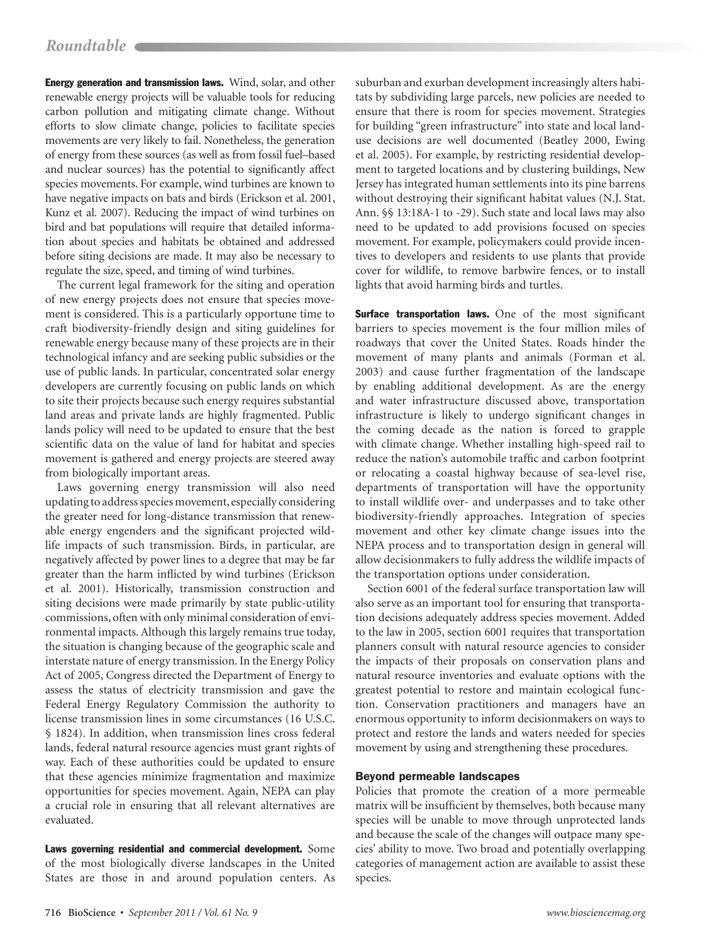### *Roundtable*

Energy generation and transmission laws. Wind, solar, and other renewable energy projects will be valuable tools for reducing carbon pollution and mitigating climate change. Without efforts to slow climate change, policies to facilitate species movements are very likely to fail. Nonetheless, the generation of energy from these sources (as well as from fossil fuel–based and nuclear sources) has the potential to significantly affect species movements. For example, wind turbines are known to have negative impacts on bats and birds (Erickson et al. 2001, Kunz et al. 2007). Reducing the impact of wind turbines on bird and bat populations will require that detailed information about species and habitats be obtained and addressed before siting decisions are made. It may also be necessary to regulate the size, speed, and timing of wind turbines.

The current legal framework for the siting and operation of new energy projects does not ensure that species movement is considered. This is a particularly opportune time to craft biodiversity-friendly design and siting guidelines for renewable energy because many of these projects are in their technological infancy and are seeking public subsidies or the use of public lands. In particular, concentrated solar energy developers are currently focusing on public lands on which to site their projects because such energy requires substantial land areas and private lands are highly fragmented. Public lands policy will need to be updated to ensure that the best scientific data on the value of land for habitat and species movement is gathered and energy projects are steered away from biologically important areas.

Laws governing energy transmission will also need updating to address species movement, especially considering the greater need for long-distance transmission that renewable energy engenders and the significant projected wildlife impacts of such transmission. Birds, in particular, are negatively affected by power lines to a degree that may be far greater than the harm inflicted by wind turbines (Erickson et al. 2001). Historically, transmission construction and siting decisions were made primarily by state public-utility commissions, often with only minimal consideration of environmental impacts. Although this largely remains true today, the situation is changing because of the geographic scale and interstate nature of energy transmission. In the Energy Policy Act of 2005, Congress directed the Department of Energy to assess the status of electricity transmission and gave the Federal Energy Regulatory Commission the authority to license transmission lines in some circumstances (16 U.S.C. § 1824). In addition, when transmission lines cross federal lands, federal natural resource agencies must grant rights of way. Each of these authorities could be updated to ensure that these agencies minimize fragmentation and maximize opportunities for species movement. Again, NEPA can play a crucial role in ensuring that all relevant alternatives are evaluated.

Laws governing residential and commercial development. Some of the most biologically diverse landscapes in the United States are those in and around population centers. As suburban and exurban development increasingly alters habitats by subdividing large parcels, new policies are needed to ensure that there is room for species movement. Strategies for building "green infrastructure" into state and local landuse decisions are well documented (Beatley 2000, Ewing et al. 2005). For example, by restricting residential development to targeted locations and by clustering buildings, New Jersey has integrated human settlements into its pine barrens without destroying their significant habitat values (N.J. Stat. Ann. §§ 13:18A-1 to -29). Such state and local laws may also need to be updated to add provisions focused on species movement. For example, policymakers could provide incentives to developers and residents to use plants that provide cover for wildlife, to remove barbwire fences, or to install lights that avoid harming birds and turtles.

Surface transportation laws. One of the most significant barriers to species movement is the four million miles of roadways that cover the United States. Roads hinder the movement of many plants and animals (Forman et al. 2003) and cause further fragmentation of the landscape by enabling additional development. As are the energy and water infrastructure discussed above, transportation infrastructure is likely to undergo significant changes in the coming decade as the nation is forced to grapple with climate change. Whether installing high-speed rail to reduce the nation's automobile traffic and carbon footprint or relocating a coastal highway because of sea-level rise, departments of transportation will have the opportunity to install wildlife over- and underpasses and to take other biodiversity-friendly approaches. Integration of species movement and other key climate change issues into the NEPA process and to transportation design in general will allow decisionmakers to fully address the wildlife impacts of the transportation options under consideration.

Section 6001 of the federal surface transportation law will also serve as an important tool for ensuring that transportation decisions adequately address species movement. Added to the law in 2005, section 6001 requires that transportation planners consult with natural resource agencies to consider the impacts of their proposals on conservation plans and natural resource inventories and evaluate options with the greatest potential to restore and maintain ecological function. Conservation practitioners and managers have an enormous opportunity to inform decisionmakers on ways to protect and restore the lands and waters needed for species movement by using and strengthening these procedures.

#### Beyond permeable landscapes

Policies that promote the creation of a more permeable matrix will be insufficient by themselves, both because many species will be unable to move through unprotected lands and because the scale of the changes will outpace many species' ability to move. Two broad and potentially overlapping categories of management action are available to assist these species.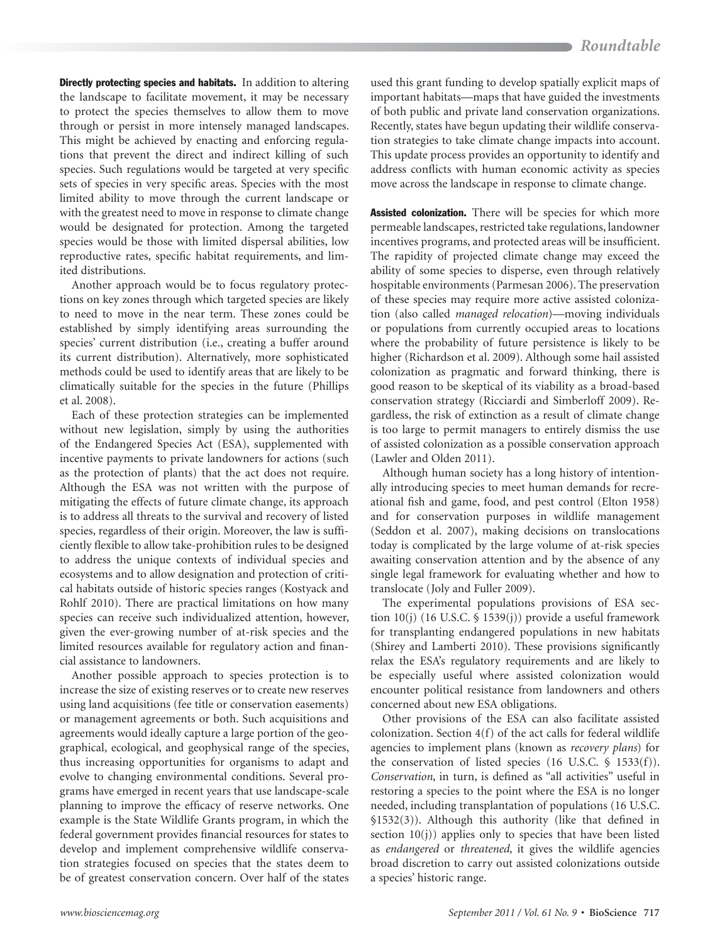Directly protecting species and habitats. In addition to altering the landscape to facilitate movement, it may be necessary to protect the species themselves to allow them to move through or persist in more intensely managed landscapes. This might be achieved by enacting and enforcing regulations that prevent the direct and indirect killing of such species. Such regulations would be targeted at very specific sets of species in very specific areas. Species with the most limited ability to move through the current landscape or with the greatest need to move in response to climate change would be designated for protection. Among the targeted species would be those with limited dispersal abilities, low reproductive rates, specific habitat requirements, and limited distributions.

Another approach would be to focus regulatory protections on key zones through which targeted species are likely to need to move in the near term. These zones could be established by simply identifying areas surrounding the species' current distribution (i.e., creating a buffer around its current distribution). Alternatively, more sophisticated methods could be used to identify areas that are likely to be climatically suitable for the species in the future (Phillips et al. 2008).

Each of these protection strategies can be implemented without new legislation, simply by using the authorities of the Endangered Species Act (ESA), supplemented with incentive payments to private landowners for actions (such as the protection of plants) that the act does not require. Although the ESA was not written with the purpose of mitigating the effects of future climate change, its approach is to address all threats to the survival and recovery of listed species, regardless of their origin. Moreover, the law is sufficiently flexible to allow take-prohibition rules to be designed to address the unique contexts of individual species and ecosystems and to allow designation and protection of critical habitats outside of historic species ranges (Kostyack and Rohlf 2010). There are practical limitations on how many species can receive such individualized attention, however, given the ever-growing number of at-risk species and the limited resources available for regulatory action and financial assistance to landowners.

Another possible approach to species protection is to increase the size of existing reserves or to create new reserves using land acquisitions (fee title or conservation easements) or management agreements or both. Such acquisitions and agreements would ideally capture a large portion of the geographical, ecological, and geophysical range of the species, thus increasing opportunities for organisms to adapt and evolve to changing environmental conditions. Several programs have emerged in recent years that use landscape-scale planning to improve the efficacy of reserve networks. One example is the State Wildlife Grants program, in which the federal government provides financial resources for states to develop and implement comprehensive wildlife conservation strategies focused on species that the states deem to be of greatest conservation concern. Over half of the states

used this grant funding to develop spatially explicit maps of important habitats—maps that have guided the investments of both public and private land conservation organizations. Recently, states have begun updating their wildlife conservation strategies to take climate change impacts into account. This update process provides an opportunity to identify and address conflicts with human economic activity as species move across the landscape in response to climate change.

Assisted colonization. There will be species for which more permeable landscapes, restricted take regulations, landowner incentives programs, and protected areas will be insufficient. The rapidity of projected climate change may exceed the ability of some species to disperse, even through relatively hospitable environments (Parmesan 2006). The preservation of these species may require more active assisted colonization (also called *managed relocation*)—moving individuals or populations from currently occupied areas to locations where the probability of future persistence is likely to be higher (Richardson et al. 2009). Although some hail assisted colonization as pragmatic and forward thinking, there is good reason to be skeptical of its viability as a broad-based conservation strategy (Ricciardi and Simberloff 2009). Regardless, the risk of extinction as a result of climate change is too large to permit managers to entirely dismiss the use of assisted colonization as a possible conservation approach (Lawler and Olden 2011).

Although human society has a long history of intentionally introducing species to meet human demands for recreational fish and game, food, and pest control (Elton 1958) and for conservation purposes in wildlife management (Seddon et al. 2007), making decisions on translocations today is complicated by the large volume of at-risk species awaiting conservation attention and by the absence of any single legal framework for evaluating whether and how to translocate (Joly and Fuller 2009).

The experimental populations provisions of ESA section 10(j) (16 U.S.C. § 1539(j)) provide a useful framework for transplanting endangered populations in new habitats (Shirey and Lamberti 2010). These provisions significantly relax the ESA's regulatory requirements and are likely to be especially useful where assisted colonization would encounter political resistance from landowners and others concerned about new ESA obligations.

Other provisions of the ESA can also facilitate assisted colonization. Section 4(f) of the act calls for federal wildlife agencies to implement plans (known as *recovery plans*) for the conservation of listed species (16 U.S.C. § 1533(f)). *Conservation*, in turn, is defined as "all activities" useful in restoring a species to the point where the ESA is no longer needed, including transplantation of populations (16 U.S.C. §1532(3)). Although this authority (like that defined in section 10(j)) applies only to species that have been listed as *endangered* or *threatened*, it gives the wildlife agencies broad discretion to carry out assisted colonizations outside a species' historic range.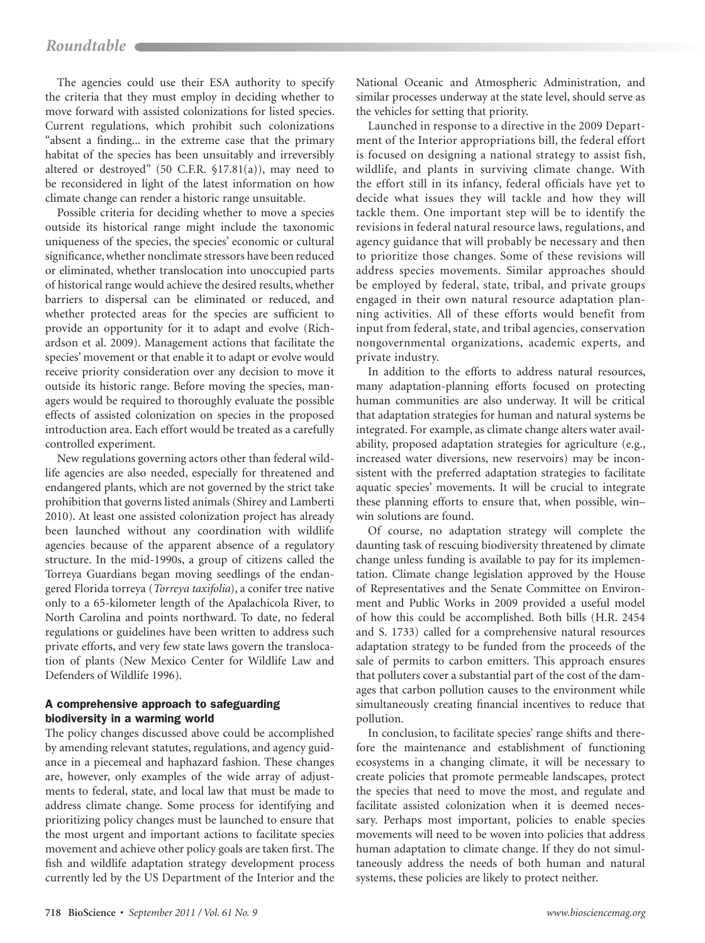The agencies could use their ESA authority to specify the criteria that they must employ in deciding whether to move forward with assisted colonizations for listed species. Current regulations, which prohibit such colonizations "absent a finding... in the extreme case that the primary habitat of the species has been unsuitably and irreversibly altered or destroyed" (50 C.F.R.  $$17.81(a)$ ), may need to be reconsidered in light of the latest information on how climate change can render a historic range unsuitable.

Possible criteria for deciding whether to move a species outside its historical range might include the taxonomic uniqueness of the species, the species' economic or cultural significance, whether nonclimate stressors have been reduced or eliminated, whether translocation into unoccupied parts of historical range would achieve the desired results, whether barriers to dispersal can be eliminated or reduced, and whether protected areas for the species are sufficient to provide an opportunity for it to adapt and evolve (Richardson et al. 2009). Management actions that facilitate the species' movement or that enable it to adapt or evolve would receive priority consideration over any decision to move it outside its historic range. Before moving the species, managers would be required to thoroughly evaluate the possible effects of assisted colonization on species in the proposed introduction area. Each effort would be treated as a carefully controlled experiment.

New regulations governing actors other than federal wildlife agencies are also needed, especially for threatened and endangered plants, which are not governed by the strict take prohibition that governs listed animals (Shirey and Lamberti 2010). At least one assisted colonization project has already been launched without any coordination with wildlife agencies because of the apparent absence of a regulatory structure. In the mid-1990s, a group of citizens called the Torreya Guardians began moving seedlings of the endangered Florida torreya (*Torreya taxifolia*), a conifer tree native only to a 65-kilometer length of the Apalachicola River, to North Carolina and points northward. To date, no federal regulations or guidelines have been written to address such private efforts, and very few state laws govern the translocation of plants (New Mexico Center for Wildlife Law and Defenders of Wildlife 1996).

#### A comprehensive approach to safeguarding biodiversity in a warming world

The policy changes discussed above could be accomplished by amending relevant statutes, regulations, and agency guidance in a piecemeal and haphazard fashion. These changes are, however, only examples of the wide array of adjustments to federal, state, and local law that must be made to address climate change. Some process for identifying and prioritizing policy changes must be launched to ensure that the most urgent and important actions to facilitate species movement and achieve other policy goals are taken first. The fish and wildlife adaptation strategy development process currently led by the US Department of the Interior and the

National Oceanic and Atmospheric Administration, and similar processes underway at the state level, should serve as the vehicles for setting that priority.

Launched in response to a directive in the 2009 Department of the Interior appropriations bill, the federal effort is focused on designing a national strategy to assist fish, wildlife, and plants in surviving climate change. With the effort still in its infancy, federal officials have yet to decide what issues they will tackle and how they will tackle them. One important step will be to identify the revisions in federal natural resource laws, regulations, and agency guidance that will probably be necessary and then to prioritize those changes. Some of these revisions will address species movements. Similar approaches should be employed by federal, state, tribal, and private groups engaged in their own natural resource adaptation planning activities. All of these efforts would benefit from input from federal, state, and tribal agencies, conservation nongovernmental organizations, academic experts, and private industry.

In addition to the efforts to address natural resources, many adaptation-planning efforts focused on protecting human communities are also underway. It will be critical that adaptation strategies for human and natural systems be integrated. For example, as climate change alters water availability, proposed adaptation strategies for agriculture (e.g., increased water diversions, new reservoirs) may be inconsistent with the preferred adaptation strategies to facilitate aquatic species' movements. It will be crucial to integrate these planning efforts to ensure that, when possible, win– win solutions are found.

Of course, no adaptation strategy will complete the daunting task of rescuing biodiversity threatened by climate change unless funding is available to pay for its implementation. Climate change legislation approved by the House of Representatives and the Senate Committee on Environment and Public Works in 2009 provided a useful model of how this could be accomplished. Both bills (H.R. 2454 and S. 1733) called for a comprehensive natural resources adaptation strategy to be funded from the proceeds of the sale of permits to carbon emitters. This approach ensures that polluters cover a substantial part of the cost of the damages that carbon pollution causes to the environment while simultaneously creating financial incentives to reduce that pollution.

In conclusion, to facilitate species' range shifts and therefore the maintenance and establishment of functioning ecosystems in a changing climate, it will be necessary to create policies that promote permeable landscapes, protect the species that need to move the most, and regulate and facilitate assisted colonization when it is deemed necessary. Perhaps most important, policies to enable species movements will need to be woven into policies that address human adaptation to climate change. If they do not simultaneously address the needs of both human and natural systems, these policies are likely to protect neither.